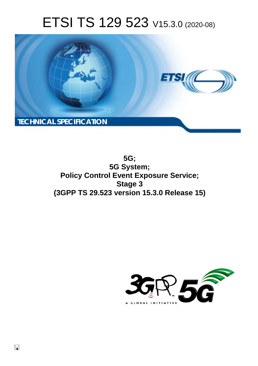# ETSI TS 129 523 V15.3.0 (2020-08)



**5G; 5G System; Policy Control Event Exposure Service; Stage 3 (3GPP TS 29.523 version 15.3.0 Release 15)** 

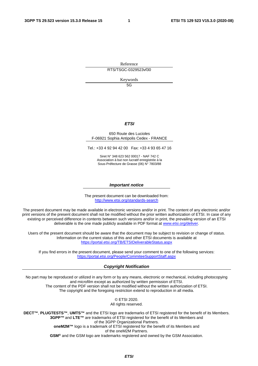Reference

RTS/TSGC-0329523vf30

Keywords

5G

#### *ETSI*

#### 650 Route des Lucioles F-06921 Sophia Antipolis Cedex - FRANCE

Tel.: +33 4 92 94 42 00 Fax: +33 4 93 65 47 16

Siret N° 348 623 562 00017 - NAF 742 C Association à but non lucratif enregistrée à la Sous-Préfecture de Grasse (06) N° 7803/88

#### *Important notice*

The present document can be downloaded from: <http://www.etsi.org/standards-search>

The present document may be made available in electronic versions and/or in print. The content of any electronic and/or print versions of the present document shall not be modified without the prior written authorization of ETSI. In case of any existing or perceived difference in contents between such versions and/or in print, the prevailing version of an ETSI deliverable is the one made publicly available in PDF format at [www.etsi.org/deliver.](http://www.etsi.org/deliver)

Users of the present document should be aware that the document may be subject to revision or change of status. Information on the current status of this and other ETSI documents is available at <https://portal.etsi.org/TB/ETSIDeliverableStatus.aspx>

If you find errors in the present document, please send your comment to one of the following services: <https://portal.etsi.org/People/CommiteeSupportStaff.aspx>

#### *Copyright Notification*

No part may be reproduced or utilized in any form or by any means, electronic or mechanical, including photocopying and microfilm except as authorized by written permission of ETSI. The content of the PDF version shall not be modified without the written authorization of ETSI. The copyright and the foregoing restriction extend to reproduction in all media.

> © ETSI 2020. All rights reserved.

**DECT™**, **PLUGTESTS™**, **UMTS™** and the ETSI logo are trademarks of ETSI registered for the benefit of its Members. **3GPP™** and **LTE™** are trademarks of ETSI registered for the benefit of its Members and of the 3GPP Organizational Partners. **oneM2M™** logo is a trademark of ETSI registered for the benefit of its Members and of the oneM2M Partners. **GSM®** and the GSM logo are trademarks registered and owned by the GSM Association.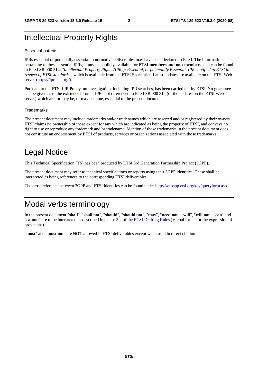# Intellectual Property Rights

#### Essential patents

IPRs essential or potentially essential to normative deliverables may have been declared to ETSI. The information pertaining to these essential IPRs, if any, is publicly available for **ETSI members and non-members**, and can be found in ETSI SR 000 314: *"Intellectual Property Rights (IPRs); Essential, or potentially Essential, IPRs notified to ETSI in respect of ETSI standards"*, which is available from the ETSI Secretariat. Latest updates are available on the ETSI Web server [\(https://ipr.etsi.org/](https://ipr.etsi.org/)).

Pursuant to the ETSI IPR Policy, no investigation, including IPR searches, has been carried out by ETSI. No guarantee can be given as to the existence of other IPRs not referenced in ETSI SR 000 314 (or the updates on the ETSI Web server) which are, or may be, or may become, essential to the present document.

#### **Trademarks**

The present document may include trademarks and/or tradenames which are asserted and/or registered by their owners. ETSI claims no ownership of these except for any which are indicated as being the property of ETSI, and conveys no right to use or reproduce any trademark and/or tradename. Mention of those trademarks in the present document does not constitute an endorsement by ETSI of products, services or organizations associated with those trademarks.

# Legal Notice

This Technical Specification (TS) has been produced by ETSI 3rd Generation Partnership Project (3GPP).

The present document may refer to technical specifications or reports using their 3GPP identities. These shall be interpreted as being references to the corresponding ETSI deliverables.

The cross reference between 3GPP and ETSI identities can be found under<http://webapp.etsi.org/key/queryform.asp>.

# Modal verbs terminology

In the present document "**shall**", "**shall not**", "**should**", "**should not**", "**may**", "**need not**", "**will**", "**will not**", "**can**" and "**cannot**" are to be interpreted as described in clause 3.2 of the [ETSI Drafting Rules](https://portal.etsi.org/Services/editHelp!/Howtostart/ETSIDraftingRules.aspx) (Verbal forms for the expression of provisions).

"**must**" and "**must not**" are **NOT** allowed in ETSI deliverables except when used in direct citation.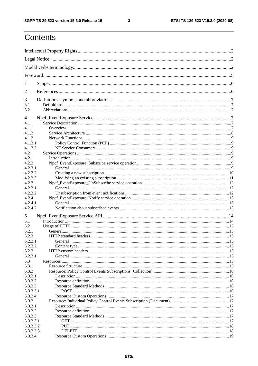$\mathbf{3}$ 

# Contents

| 1          |         |  |  |  |  |  |
|------------|---------|--|--|--|--|--|
| 2          |         |  |  |  |  |  |
| 3          |         |  |  |  |  |  |
| 3.1<br>3.2 |         |  |  |  |  |  |
| 4          |         |  |  |  |  |  |
| 4.1        |         |  |  |  |  |  |
| 4.1.1      |         |  |  |  |  |  |
| 4.1.2      |         |  |  |  |  |  |
| 4.1.3      |         |  |  |  |  |  |
| 4.1.3.1    |         |  |  |  |  |  |
| 4.1.3.2    |         |  |  |  |  |  |
| 4.2        |         |  |  |  |  |  |
| 4.2.1      |         |  |  |  |  |  |
| 4.2.2      |         |  |  |  |  |  |
| 4.2.2.1    |         |  |  |  |  |  |
| 4.2.2.2    |         |  |  |  |  |  |
| 4.2.2.3    |         |  |  |  |  |  |
| 4.2.3      |         |  |  |  |  |  |
| 4.2.3.1    |         |  |  |  |  |  |
| 4.2.3.2    |         |  |  |  |  |  |
| 4.2.4      |         |  |  |  |  |  |
| 4.2.4.1    |         |  |  |  |  |  |
| 4.2.4.2    |         |  |  |  |  |  |
| 5          |         |  |  |  |  |  |
| 5.1        |         |  |  |  |  |  |
| 5.2        |         |  |  |  |  |  |
| 5.2.1      |         |  |  |  |  |  |
| 5.2.2      |         |  |  |  |  |  |
| 5.2.2.1    | General |  |  |  |  |  |
| 5.2.2.2    |         |  |  |  |  |  |
| 5.2.3      |         |  |  |  |  |  |
| 5.2.3.1    |         |  |  |  |  |  |
| 5.3        |         |  |  |  |  |  |
| 5.3.1      |         |  |  |  |  |  |
| 5.3.2      |         |  |  |  |  |  |
| 5.3.2.1    |         |  |  |  |  |  |
| 5.3.2.2    |         |  |  |  |  |  |
| 5.3.2.3    |         |  |  |  |  |  |
| 5.3.2.3.1  |         |  |  |  |  |  |
| 5.3.2.4    |         |  |  |  |  |  |
| 5.3.3      |         |  |  |  |  |  |
| 5.3.3.1    |         |  |  |  |  |  |
| 5.3.3.2    |         |  |  |  |  |  |
| 5.3.3.3    |         |  |  |  |  |  |
| 5.3.3.3.1  |         |  |  |  |  |  |
| 5.3.3.3.2  |         |  |  |  |  |  |
| 5.3.3.3.3  |         |  |  |  |  |  |
| 5.3.3.4    |         |  |  |  |  |  |
|            |         |  |  |  |  |  |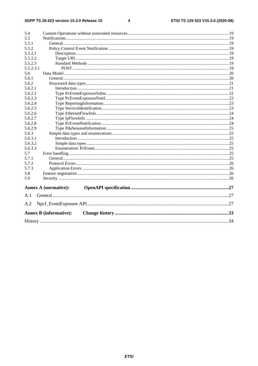#### $\overline{\mathbf{4}}$

| 5.4       |                               |  |
|-----------|-------------------------------|--|
| 5.5       |                               |  |
| 5.5.1     |                               |  |
| 5.5.2     |                               |  |
| 5.5.2.1   |                               |  |
| 5.5.2.2   |                               |  |
| 5.5.2.3   |                               |  |
| 5.5.2.3.1 |                               |  |
| 5.6       |                               |  |
| 5.6.1     |                               |  |
| 5.6.2     |                               |  |
| 5.6.2.1   |                               |  |
| 5.6.2.2   |                               |  |
| 5.6.2.3   |                               |  |
| 5.6.2.4   |                               |  |
| 5.6.2.5   |                               |  |
| 5.6.2.6   |                               |  |
| 5.6.2.7   |                               |  |
| 5.6.2.8   |                               |  |
| 5.6.2.9   |                               |  |
| 5.6.3     |                               |  |
| 5.6.3.1   |                               |  |
| 5.6.3.2   |                               |  |
| 5.6.3.3   |                               |  |
| 5.7       |                               |  |
| 5.7.1     |                               |  |
| 5.7.2     |                               |  |
| 5.7.3     |                               |  |
| 5.8       |                               |  |
| 5.9       |                               |  |
|           | <b>Annex A (normative):</b>   |  |
| A.1       |                               |  |
| A.2       |                               |  |
|           |                               |  |
|           | <b>Annex B</b> (informative): |  |
|           |                               |  |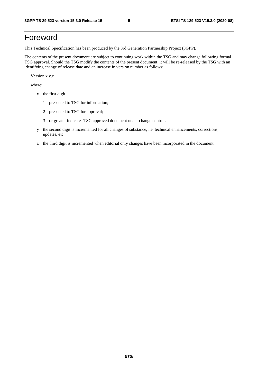# Foreword

This Technical Specification has been produced by the 3rd Generation Partnership Project (3GPP).

The contents of the present document are subject to continuing work within the TSG and may change following formal TSG approval. Should the TSG modify the contents of the present document, it will be re-released by the TSG with an identifying change of release date and an increase in version number as follows:

Version x.y.z

where:

- x the first digit:
	- 1 presented to TSG for information;
	- 2 presented to TSG for approval;
	- 3 or greater indicates TSG approved document under change control.
- y the second digit is incremented for all changes of substance, i.e. technical enhancements, corrections, updates, etc.
- z the third digit is incremented when editorial only changes have been incorporated in the document.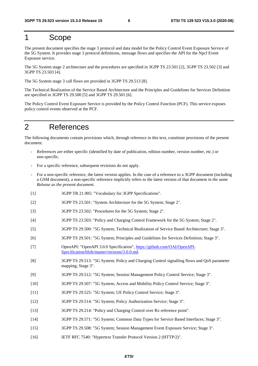# 1 Scope

The present document specifies the stage 3 protocol and data model for the Policy Control Event Exposure Service of the 5G System. It provides stage 3 protocol definitions, message flows and specifies the API for the Npcf Event Exposure service.

The 5G System stage 2 architecture and the procedures are specified in 3GPP TS 23.501 [2], 3GPP TS 23.502 [3] and 3GPP TS 23.503 [4].

The 5G System stage 3 call flows are provided in 3GPP TS 29.513 [8].

The Technical Realization of the Service Based Architecture and the Principles and Guidelines for Services Definition are specified in 3GPP TS 29.500 [5] and 3GPP TS 29.501 [6].

The Policy Control Event Exposure Service is provided by the Policy Control Function (PCF). This service exposes policy control events observed at the PCF.

# 2 References

The following documents contain provisions which, through reference in this text, constitute provisions of the present document.

- References are either specific (identified by date of publication, edition number, version number, etc.) or non-specific.
- For a specific reference, subsequent revisions do not apply.
- For a non-specific reference, the latest version applies. In the case of a reference to a 3GPP document (including a GSM document), a non-specific reference implicitly refers to the latest version of that document *in the same Release as the present document*.
- [1] 3GPP TR 21.905: "Vocabulary for 3GPP Specifications".
- [2] 3GPP TS 23.501: "System Architecture for the 5G System; Stage 2".
- [3] 3GPP TS 23.502: "Procedures for the 5G System; Stage 2".
- [4] 3GPP TS 23.503: "Policy and Charging Control Framework for the 5G System; Stage 2".
- [5] 3GPP TS 29.500: "5G System; Technical Realization of Service Based Architecture; Stage 3".
- [6] 3GPP TS 29.501: "5G System; Principles and Guidelines for Services Definition; Stage 3".
- [7] OpenAPI: "OpenAPI 3.0.0 Specification", [https://github.com/OAI/OpenAPI](https://github.com/OAI/OpenAPI-Specification/blob/master/versions/3.0.0.md)-[Specification/blob/master/versions/3.0.0.md](https://github.com/OAI/OpenAPI-Specification/blob/master/versions/3.0.0.md).
- [8] 3GPP TS 29.513: "5G System; Policy and Charging Control signalling flows and QoS parameter mapping; Stage 3".
- [9] 3GPP TS 29.512: "5G System; Session Management Policy Control Service; Stage 3".
- [10] 3GPP TS 29.507: "5G System; Access and Mobility Policy Control Service; Stage 3".
- [11] 3GPP TS 29.525: "5G System; UE Policy Control Service; Stage 3".
- [12] 3GPP TS 29.514: "5G System; Policy Authorization Service; Stage 3".
- [13] 3GPP TS 29.214: "Policy and Charging Control over Rx reference point".
- [14] 3GPP TS 29.571: "5G System; Common Data Types for Service Based Interfaces; Stage 3".
- [15] 3GPP TS 29.508: "5G System; Session Management Event Exposure Service; Stage 3".
- [16] IETF RFC 7540: "Hypertext Transfer Protocol Version 2 (HTTP/2)".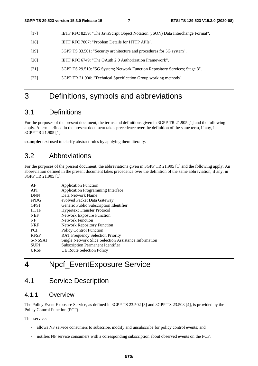- [17] IETF RFC 8259: "The JavaScript Object Notation (JSON) Data Interchange Format".
- [18] IETF RFC 7807: "Problem Details for HTTP APIs".
- [19] 3GPP TS 33.501: "Security architecture and procedures for 5G system".
- [20] IETF RFC 6749: "The OAuth 2.0 Authorization Framework".
- [21] 3GPP TS 29.510: "5G System; Network Function Repository Services; Stage 3".
- [22] 3GPP TR 21.900: "Technical Specification Group working methods".

# 3 Definitions, symbols and abbreviations

# 3.1 Definitions

For the purposes of the present document, the terms and definitions given in 3GPP TR 21.905 [1] and the following apply. A term defined in the present document takes precedence over the definition of the same term, if any, in 3GPP TR 21.905 [1].

**example:** text used to clarify abstract rules by applying them literally.

# 3.2 Abbreviations

For the purposes of the present document, the abbreviations given in 3GPP TR 21.905 [1] and the following apply. An abbreviation defined in the present document takes precedence over the definition of the same abbreviation, if any, in 3GPP TR 21.905 [1].

| AF          | <b>Application Function</b>                           |
|-------------|-------------------------------------------------------|
| API         | <b>Application Programming Interface</b>              |
| <b>DNN</b>  | Data Network Name                                     |
| ePDG        | evolved Packet Data Gateway                           |
| <b>GPSI</b> | Generic Public Subscription Identifier                |
| <b>HTTP</b> | <b>Hypertext Transfer Protocol</b>                    |
| <b>NEF</b>  | <b>Network Exposure Function</b>                      |
| NF          | <b>Network Function</b>                               |
| <b>NRF</b>  | <b>Network Repository Function</b>                    |
| <b>PCF</b>  | <b>Policy Control Function</b>                        |
| <b>RFSP</b> | <b>RAT Frequency Selection Priority</b>               |
| S-NSSAI     | Single Network Slice Selection Assistance Information |
| <b>SUPI</b> | <b>Subscription Permanent Identifier</b>              |
| <b>URSP</b> | <b>UE Route Selection Policy</b>                      |
|             |                                                       |

# 4 Npcf\_EventExposure Service

# 4.1 Service Description

# 4.1.1 Overview

The Policy Event Exposure Service, as defined in 3GPP TS 23.502 [3] and 3GPP TS 23.503 [4], is provided by the Policy Control Function (PCF).

This service:

- allows NF service consumers to subscribe, modify and unsubscribe for policy control events; and
- notifies NF service consumers with a corresponding subscription about observed events on the PCF.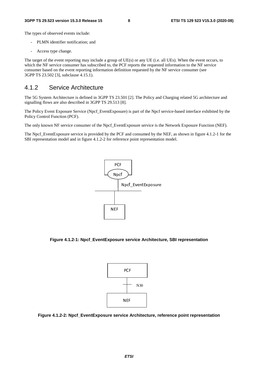The types of observed events include:

- PLMN identifier notification; and
- Access type change.

The target of the event reporting may include a group of UE(s) or any UE (i.e. all UEs). When the event occurs, to which the NF service consumer has subscribed to, the PCF reports the requested information to the NF service consumer based on the event reporting information definition requested by the NF service consumer (see 3GPP TS 23.502 [3], subclause 4.15.1).

### 4.1.2 Service Architecture

The 5G System Architecture is defined in 3GPP TS 23.501 [2]. The Policy and Charging related 5G architecture and signalling flows are also described in 3GPP TS 29.513 [8].

The Policy Event Exposure Service (Npcf\_EventExposure) is part of the Npcf service-based interface exhibited by the Policy Control Function (PCF).

The only known NF service consumer of the Npcf\_EventExposure service is the Network Exposure Function (NEF).

The Npcf\_EventExposure service is provided by the PCF and consumed by the NEF, as shown in figure 4.1.2-1 for the SBI representation model and in figure 4.1.2-2 for reference point representation model.



**Figure 4.1.2-1: Npcf\_EventExposure service Architecture, SBI representation** 



**Figure 4.1.2-2: Npcf\_EventExposure service Architecture, reference point representation**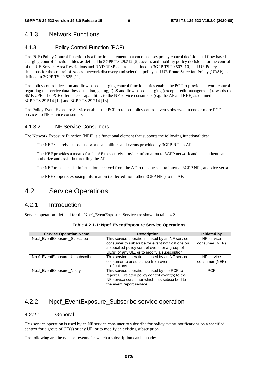# 4.1.3 Network Functions

### 4.1.3.1 Policy Control Function (PCF)

The PCF (Policy Control Function) is a functional element that encompasses policy control decision and flow based charging control functionalities as defined in 3GPP TS 29.512 [9], access and mobility policy decisions for the control of the UE Service Area Restrictions and RAT/RFSP control as defined in 3GPP TS 29.507 [10] and UE Policy decisions for the control of Access network discovery and selection policy and UE Route Selection Policy (URSP) as defined in 3GPP TS 29.525 [11].

The policy control decision and flow based charging control functionalities enable the PCF to provide network control regarding the service data flow detection, gating, QoS and flow based charging (except credit management) towards the SMF/UPF. The PCF offers these capabilities to the NF service consumers (e.g. the AF and NEF) as defined in 3GPP TS 29.514 [12] and 3GPP TS 29.214 [13].

The Policy Event Exposure Service enables the PCF to report policy control events observed in one or more PCF services to NF service consumers.

#### 4.1.3.2 NF Service Consumers

The Network Exposure Function (NEF) is a functional element that supports the following functionalities:

- The NEF securely exposes network capabilities and events provided by 3GPP NFs to AF.
- The NEF provides a means for the AF to securely provide information to 3GPP network and can authenticate, authorize and assist in throttling the AF.
- The NEF translates the information received from the AF to the one sent to internal 3GPP NFs, and vice versa.
- The NEF supports exposing information (collected from other 3GPP NFs) to the AF.

# 4.2 Service Operations

### 4.2.1 Introduction

Service operations defined for the Npcf\_EventExposure Service are shown in table 4.2.1-1.

| <b>Service Operation Name</b>  | <b>Description</b>                               | <b>Initiated by</b> |
|--------------------------------|--------------------------------------------------|---------------------|
| Npcf EventExposure Subscribe   | This service operation is used by an NF service  | NF service          |
|                                | consumer to subscribe for event notifications on | consumer (NEF)      |
|                                | a specified policy control event for a group of  |                     |
|                                | UE(s) or any UE, or to modify a subscription.    |                     |
| Npcf_EventExposure_Unsubscribe | This service operation is used by an NF service  | NF service          |
|                                | consumer to unsubscribe from event               | consumer (NEF)      |
|                                | notifications.                                   |                     |
| Npcf EventExposure Notify      | This service operation is used by the PCF to     | <b>PCF</b>          |
|                                | report UE related policy control event(s) to the |                     |
|                                | NF service consumer which has subscribed to      |                     |
|                                | the event report service.                        |                     |

| Table 4.2.1-1: Npcf_EventExposure Service Operations |  |  |  |
|------------------------------------------------------|--|--|--|
|------------------------------------------------------|--|--|--|

# 4.2.2 Npcf EventExposure Subscribe service operation

#### 4.2.2.1 General

This service operation is used by an NF service consumer to subscribe for policy events notifications on a specified context for a group of UE(s) or any UE, or to modify an existing subscription.

The following are the types of events for which a subscription can be made: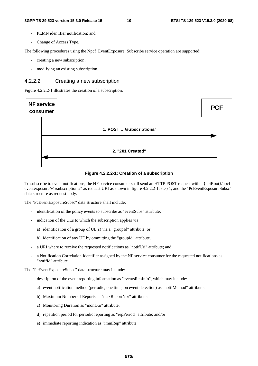- PLMN identifier notification; and
- Change of Access Type.

The following procedures using the Npcf. EventExposure. Subscribe service operation are supported:

- creating a new subscription;
- modifying an existing subscription.

#### 4.2.2.2 Creating a new subscription

Figure 4.2.2.2-1 illustrates the creation of a subscription.



**Figure 4.2.2.2-1: Creation of a subscription** 

To subscribe to event notifications, the NF service consumer shall send an HTTP POST request with: "{apiRoot}/npcfeventexposure/v1/subscriptions/" as request URI as shown in figure 4.2.2.2-1, step 1, and the "PcEventExposureSubsc" data structure as request body.

The "PcEventExposureSubsc" data structure shall include:

- identification of the policy events to subscribe as "eventSubs" attribute;
- indication of the UEs to which the subscription applies via:
	- a) identification of a group of UE(s) via a "groupId" attribute; or
	- b) identification of any UE by ommitting the "groupId" attribute.
- a URI where to receive the requested notifications as "notifUri" attribute; and
- a Notification Correlation Identifier assigned by the NF service consumer for the requested notifications as "notifId" attribute.

The "PcEventExposureSubsc" data structure may include:

- description of the event reporting information as "eventsRepInfo", which may include:
	- a) event notification method (periodic, one time, on event detection) as "notifMethod" attribute;
	- b) Maximum Number of Reports as "maxReportNbr" attribute;
	- c) Monitoring Duration as "monDur" attribute;
	- d) repetition period for periodic reporting as "repPeriod" attribute; and/or
	- e) immediate reporting indication as "immRep" attribute.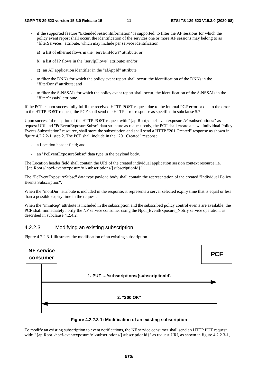- if the supported feature "ExtendedSessionInformation" is supported, to filter the AF sessions for which the policy event report shall occur, the identification of the services one or more AF sessions may belong to as "filterServices" attribute, which may include per service identification:
	- a) a list of ethernet flows in the "servEthFlows" attribute; or
	- b) a list of IP flows in the "servIpFlows" attribute; and/or
	- c) an AF application identifier in the "afAppId" attribute.
- to filter the DNNs for which the policy event report shall occur, the identification of the DNNs in the "filterDnns" attribute; and
- to filter the S-NSSAIs for which the policy event report shall occur, the identification of the S-NSSAIs in the "filterSnssais" attribute.

If the PCF cannot successfully fulfil the received HTTP POST request due to the internal PCF error or due to the error in the HTTP POST request, the PCF shall send the HTTP error response as specified in subclause 5.7.

Upon successful reception of the HTTP POST request with "{apiRoot}/npcf-eventexposure/v1/subscriptions/" as request URI and "PcEventExposureSubsc" data structure as request body, the PCF shall create a new "Individual Policy "PcEventExposureSubsc" data structure as request body, the PCF shall create a new "Individual Policy<br>ion" resource, shall store the subscription and shall send a HTTP "201 Created" response as shown in<br>step 2. The PCF shal Events Subscription" resource, shall store the subscription and shall send a HTTP "201 Created" response as shown in figure 4.2.2.2-1, step 2. The PCF shall include in the "201 Created" response:

- a Location header field; and
- an "PcEventExposureSubsc" data type in the payload body.

- an "PcEventExposureSubsc" data type in the payload body.<br>The Location header field shall contain the URI of the created individual application session context resource i.e. "{apiRoot}/ npcf-eventexposure/v1/subscriptions/{subscriptionId}".

The "PcEventExposureSubsc" data type payload body shall contain the representation of the created "Individual Policy Events Subscription

Events Subscription".<br>When the "monDur" attribute is included in the response, it represents a server selected expiry time that is equal or less than a possible expiry time in the request.

When the "immRep" attribute is included in the subscription and the subscribed policy control events are available, the PCF shall immediately notify the NF service consumer using the Npcf\_EventExposure\_Notify service operation, as described in subclause 4.2.4.2.

#### 4.2.2.3 Modifying an existing subscription

Figure 4.2.2.3-1 illustrates the modification of an existing subscription.





To modify an existing subscription to event notifications, the NF service consumer shall send an HTTP PUT request with: "{apiRoot}/npcf-eventexposure/v1/subscriptions/{subscriptionId}" as request URI, as shown in figure 4.2.2.3-1,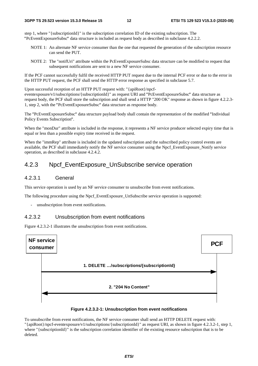step 1, where "{subscriptionId}" is the subscription correlation ID of the existing subscription. The "PcEventExposureSubsc" data structure is included as request body as described in subclause 4.2.2.2.

- NOTE 1: An alternate NF service consumer than the one that requested the generation of the subscription resource can send the PUT.
- NOTE 2: The "notifUri" attribute within the PcEventExposureSubsc data structure can be modified to request that subsequent notifications are sent to a new NF service consumer.

If the PCF cannot successfully fulfil the received HTTP PUT request due to the internal PCF error or due to the error in the HTTP PUT request, the PCF shall send the HTTP error response as specified in subclause 5.7.

Upon successful reception of an HTTP PUT request with: "{apiRoot}/npcfeventexposure/v1/subscriptions/{subscriptionId}" as request URI and "PcEventExposureSubsc" data structure as "PcEventExposureSubsc" data structure as<br>TP "200 OK" response as shown in figure 4<br>body. request body, the PCF shall store the subscription and shall send a HTTP "200 OK" response as shown in figure 4.2.2.3- 1, step 2, with the "PcEventExposureSubsc" data structure as response body.

1, step 2, with the "PcEventExposureSubsc" data structure as response body.<br>The "PcEventExposureSubsc" data structure payload body shall contain the representation of the modified "Individual<br>Policy Events Subscription". Policy Events Subscription".

Policy Events Subscription".<br>When the "monDur" attribute is included in the response, it represents a NF service producer selected expiry time that is equal or less than a possible expiry time received in the request.

When the "immRep" attribute is included in the updated subscription and the subscribed policy control events are available, the PCF shall immediately notify the NF service consumer using the Npcf\_EventExposure\_Notify service operation, as described in subclause 4.2.4.2.

# 4.2.3 Npcf\_EventExposure\_UnSubscribe service operation

#### 4.2.3.1 General

This service operation is used by an NF service consumer to unsubscribe from event notifications.

The following procedure using the Npcf\_EventExposure\_UnSubscribe service operation is supported:

unsubscription from event notifications.

#### 4.2.3.2 Unsubscription from event notifications

Figure 4.2.3.2-1 illustrates the unsubscription from event notifications.



#### **Figure 4.2.3.2-1: Unsubscription from event notifications**

To unsubscribe from event notifications, the NF service consumer shall send an HTTP DELETE request with: "{apiRoot}/npcf-eventexposure/v1/subscriptions/{subscriptionId}" as request URI, as shown in figure 4.2.3.2-1, step 1, where "{subscriptionId}" is the subscription correlation identifier of the existing resource subscription that is to be deleted.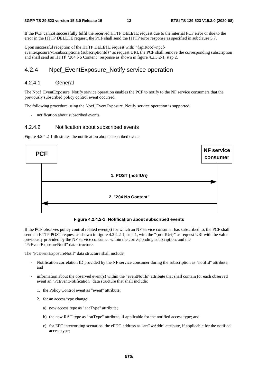If the PCF cannot successfully fulfil the received HTTP DELETE request due to the internal PCF error or due to the error in the HTTP DELETE request, the PCF shall send the HTTP error response as specified in subclause 5.7.

Upon successful reception of the HTTP DELETE request with: "{apiRoot}/npcfeventexposure/v1/subscriptions/{subscriptionId}" as request URI, the PCF shall remove the corresponding subscription and shall send an HTTP "204 No Content" response as shown in figure 4.2.3.2-1, step 2.

### 4.2.4 Npcf\_EventExposure\_Notify service operation

#### 4.2.4.1 General

The Npcf\_EventExposure\_Notify service operation enables the PCF to notify to the NF service consumers that the previously subscribed policy control event occurred.

The following procedure using the Npcf\_EventExposure\_Notify service operation is supported:

- notification about subscribed events.

#### 4.2.4.2 Notification about subscribed events

Figure 4.2.4.2-1 illustrates the notification about subscribed events.



**Figure 4.2.4.2-1: Notification about subscribed events** 

If the PCF observes policy control related event(s) for which an NF service consumer has subscribed to, the PCF shall send an HTTP POST request as shown in figure 4.2.4.2-1, step 1, with the "{notifUri}" as request URI with the value previously provided by the NF service consumer within the corresponding subscription, and the "PcEventExposureNotif" data structure.

The "PcEventExposureNotif" data structure shall include:

- Notification correlation ID provided by the NF service consumer during the subscription as "notifId" attribute; and
- information about the observed event(s) within the "eventNotifs" attribute that shall contain for each observed event an "PcEventNotification" data structure that shall include:
	- 1. the Policy Control event as "event" attribute;
	- 2. for an access type change:
		- a) new access type as "accType" attribute;
		- b) the new RAT type as "ratType" attribute, if applicable for the notified access type; and
		- c) for EPC inteworking scenarios, the ePDG address as "anGwAddr" attribute, if applicable for the notified access type;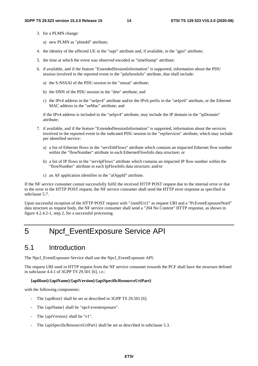- 3. for a PLMN change:
	- a) new PLMN as "plmnId" attribute;
- 4. the identity of the affected UE in the "supi" attribute and, if available, in the "gpsi" attribute;
- 5. the time at which the event was observed encoded as "timeStamp" attribute;
- 6. if available, and if the feature "ExtendedSessionInformation" is supported, information about the PDU session involved in the reported event in the "pduSessInfo" attribute, that shall include:
	- a) the S-NSSAI of the PDU session in the "snssai" attribute;
	- b) the DNN of the PDU session in the "dnn" attribute; and
	- c) the IPv4 address in the "ueIpv4" attribute and/or the IPv6 prefix in the "ueIpv6" attribute, or the Ethernet MAC address in the "ueMac" attribute; and

if the IPv4 address is included in the "ueIpv4" attribute, may include the IP domain in the "ipDomain" attribute;

- 7. if available, and if the feature "ExtendedSessionInformation" is supported, information about the services involved in the reported event in the indicated PDU session in the "repServices" attribute, which may include per identified service:
	- a) a list of Ethernet flows in the "servEthFlows" attribute which contains an impacted Ethernet flow number within the "flowNumber" attribute in each EthernetFlowInfo data structure; or
	- b) a list of IP flows in the "servIpFlows" attribute which contains an impacted IP flow number within the "flowNumber" attribute in each IpFlowInfo data structure; and/or
	- c) an AF application identifier in the "afAppId" attribute.

If the NF service consumer cannot successfully fulfil the received HTTP POST request due to the internal error or due to the error in the HTTP POST request, the NF service consumer shall send the HTTP error response as specified in subclause 5.7.

Upon successful reception of the HTTP POST request with "{notifUri}" as request URI and a "PcEventExposureNotif" data structure as request body, the NF service consumer shall send a "204 No Content" HTTP response, as shown in figure 4.2.4.2-1, step 2, for a successful processing.

# 5 Npcf\_EventExposure Service API

# 5.1 Introduction

The Npcf\_EventExposure Service shall use the Npcf\_EventExposure API.

The request URI used in HTTP request from the NF service consumer towards the PCF shall have the structure defined in subclause 4.4.1 of 3GPP TS 29.501 [6], i.e.:

#### **{apiRoot}/{apiName}/{apiVersion}/{apiSpecificResourceUriPart}**

with the following components:

- The {apiRoot} shall be set as described in 3GPP TS 29.501 [6].
- The {apiName} shall be "npcf-eventexposure".
- The {apiVersion} shall be "v1".
- The {apiSpecificResourceUriPart} shall be set as described in subclause 5.3.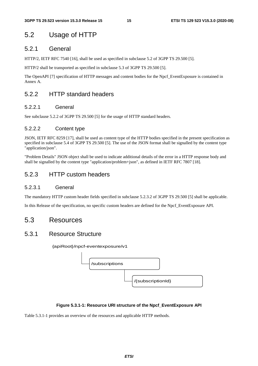# 5.2 Usage of HTTP

### 5.2.1 General

HTTP/2, IETF RFC 7540 [16], shall be used as specified in subclause 5.2 of 3GPP TS 29.500 [5].

HTTP/2 shall be transported as specified in subclause 5.3 of 3GPP TS 29.500 [5].

The OpenAPI [7] specification of HTTP messages and content bodies for the Npcf\_EventExposure is contained in Annex A.

# 5.2.2 HTTP standard headers

#### 5.2.2.1 General

See subclause 5.2.2 of 3GPP TS 29.500 [5] for the usage of HTTP standard headers.

### 5.2.2.2 Content type

JSON, IETF RFC 8259 [17], shall be used as content type of the HTTP bodies specified in the present specification as specified in subclause 5.4 of 3GPP TS 29.500 [5]. The use of the JSON format shall be signalled by the content type "application/json".

"Problem Details" JSON object shall be used to indicate additional details of the error in a HTTP response body and shall be signalled by the content type "application/problem+json", as defined in IETF RFC 7807 [18].

# 5.2.3 HTTP custom headers

#### 5.2.3.1 General

The mandatory HTTP custom header fields specified in subclause 5.2.3.2 of 3GPP TS 29.500 [5] shall be applicable.

In this Release of the specification, no specific custom headers are defined for the Npcf\_EventExposure API.

# 5.3 Resources

# 5.3.1 Resource Structure

{apiRoot}/npcf-eventexposure/v1



#### **Figure 5.3.1-1: Resource URI structure of the Npcf\_EventExposure API**

Table 5.3.1-1 provides an overview of the resources and applicable HTTP methods.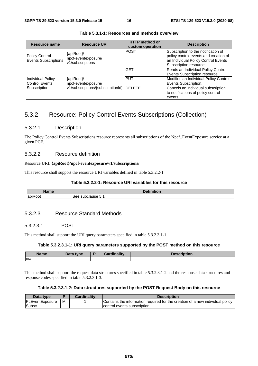| Resource name                                     | <b>Resource URI</b>                                                            | <b>HTTP</b> method or<br>custom operation | <b>Description</b>                                                                                                                            |
|---------------------------------------------------|--------------------------------------------------------------------------------|-------------------------------------------|-----------------------------------------------------------------------------------------------------------------------------------------------|
| <b>Policy Control</b><br>Events Subscriptions     | {apiRoot}/<br>npcf-eventexposure/<br>v1/subscriptions                          | <b>POST</b>                               | Subscription to the notification of<br>policy control events and creation of<br>an Individual Policy Control Events<br>Subscription resource. |
|                                                   | {apiRoot}/<br>npcf-eventexposure/<br>v1/subscriptions/{subscriptionId}  DELETE | <b>GET</b>                                | Reads an Individual Policy Control<br>Events Subscription resource.                                                                           |
| <b>Individual Policy</b><br><b>Control Events</b> |                                                                                | <b>PUT</b>                                | Modifies an Individual Policy Control<br>Events Subscription.                                                                                 |
| Subscription                                      |                                                                                |                                           | Cancels an individual subscription<br>to notifications of policy control<br>events.                                                           |

**Table 5.3.1-1: Resources and methods overview** 

# 5.3.2 Resource: Policy Control Events Subscriptions (Collection)

#### 5.3.2.1 Description

The Policy Control Events Subscriptions resource represents all subscriptions of the Npcf\_EventExposure service at a given PCF.

#### 5.3.2.2 Resource definition

#### Resource URI: **{apiRoot}/npcf-eventexposure/v1/subscriptions/**

This resource shall support the resource URI variables defined in table 5.3.2.2-1.

#### **Table 5.3.2.2-1: Resource URI variables for this resource**

| <b>TABLE</b><br><b>Name</b> | $-1$<br>$-1.1$<br>.<br>чυι. |
|-----------------------------|-----------------------------|
| $\overline{\phantom{0}}$    | subclause                   |
| lapit                       | See                         |
| रoot                        | ◡.                          |

#### 5.3.2.3 Resource Standard Methods

#### 5.3.2.3.1 POST

This method shall support the URI query parameters specified in table 5.3.2.3.1-1.

#### **Table 5.3.2.3.1-1: URI query parameters supported by the POST method on this resource**

| Name | Data tyne | D | <b>Time Hiss</b> | -- 1000 -- |
|------|-----------|---|------------------|------------|
| ln/a |           |   |                  |            |

This method shall support the request data structures specified in table 5.3.2.3.1-2 and the response data structures and response codes specified in table 5.3.2.3.1-3.

#### **Table 5.3.2.3.1-2: Data structures supported by the POST Request Body on this resource**

| Data type       |   | <b>Cardinality</b> | <b>Description</b>                                                            |
|-----------------|---|--------------------|-------------------------------------------------------------------------------|
| PcEventExposure | M |                    | Contains the information required for the creation of a new individual policy |
| Subsc           |   |                    | control events subscription.                                                  |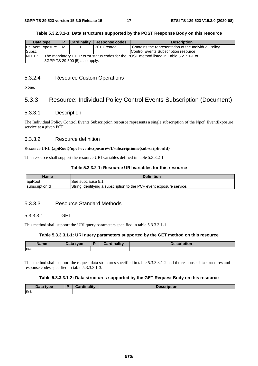#### **Table 5.3.2.3.1-3: Data structures supported by the POST Response Body on this resource**

| Data type                                                                                       |   | <b>Cardinality</b> | Response codes | <b>Description</b>                                   |  |
|-------------------------------------------------------------------------------------------------|---|--------------------|----------------|------------------------------------------------------|--|
| <b>PcEventExposure</b>                                                                          | м |                    | 201 Created    | Contains the representation of the Individual Policy |  |
| Subsc                                                                                           |   |                    |                | Control Events Subscription resource.                |  |
| NOTE:<br>The mandatory HTTP error status codes for the POST method listed in Table 5.2.7.1-1 of |   |                    |                |                                                      |  |
| 3GPP TS 29.500 [5] also apply.                                                                  |   |                    |                |                                                      |  |

#### 5.3.2.4 Resource Custom Operations

None.

# 5.3.3 Resource: Individual Policy Control Events Subscription (Document)

#### 5.3.3.1 Description

The Individual Policy Control Events Subscription resource represents a single subscription of the Npcf\_EventExposure service at a given PCF.

#### 5.3.3.2 Resource definition

#### Resource URI: **{apiRoot}/npcf-eventexposure/v1/subscriptions/{subscriptionId}**

This resource shall support the resource URI variables defined in table 5.3.3.2-1.

#### **Table 5.3.3.2-1: Resource URI variables for this resource**

| Name           | <b>Definition</b>                                                    |
|----------------|----------------------------------------------------------------------|
| apiRoot        | See subclause 5.1                                                    |
| subscriptionId | String identifying a subscription to the PCF event exposure service. |

#### 5.3.3.3 Resource Standard Methods

#### 5.3.3.3.1 GET

This method shall support the URI query parameters specified in table 5.3.3.3.1-1.

#### **Table 5.3.3.3.1-1: URI query parameters supported by the GET method on this resource**

| <b>Name</b> | Data type | <b>Cardinality</b> | <b>Description</b> |
|-------------|-----------|--------------------|--------------------|
| n/a         |           |                    |                    |

This method shall support the request data structures specified in table 5.3.3.3.1-2 and the response data structures and response codes specified in table 5.3.3.3.1-3.

#### **Table 5.3.3.3.1-2: Data structures supported by the GET Request Body on this resource**

| <b>Bath</b><br>type<br>Putu | المستقل والمستقر | .<br>.<br>lor. |
|-----------------------------|------------------|----------------|
| n/a                         |                  |                |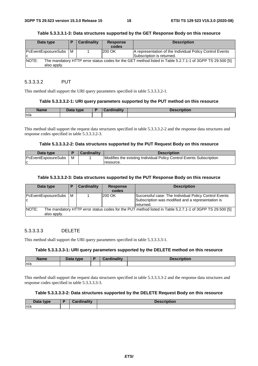#### **Table 5.3.3.3.1-3: Data structures supported by the GET Response Body on this resource**

| Data type                     | Е | <b>Cardinality</b> | <b>Response</b><br>codes | <b>Description</b>                                                                                       |
|-------------------------------|---|--------------------|--------------------------|----------------------------------------------------------------------------------------------------------|
| PcEventExposureSubs   M<br>ΙC |   |                    | 200 OK                   | A representation of the Individual Policy Control Events<br>Subscription is returned.                    |
| <b>NOTE:</b><br>also apply.   |   |                    |                          | The mandatory HTTP error status codes for the GET method listed in Table 5.2.7.1-1 of 3GPP TS 29.500 [5] |

#### 5.3.3.3.2 PUT

This method shall support the URI query parameters specified in table 5.3.3.3.2-1.

#### **Table 5.3.3.3.2-1: URI query parameters supported by the PUT method on this resource**

| <b>Name</b> | Data type<br>Puw | .<br>$\sim$<br>-------- | Description |
|-------------|------------------|-------------------------|-------------|
| n/a         |                  |                         |             |

This method shall support the request data structures specified in table 5.3.3.3.2-2 and the response data structures and response codes specified in table 5.3.3.3.2-3.

#### **Table 5.3.3.3.2-2: Data structures supported by the PUT Request Body on this resource**

| Data type                  |   | <b>Cardinality</b> | <b>Description</b>                                                  |
|----------------------------|---|--------------------|---------------------------------------------------------------------|
| <b>PcEventExposureSubs</b> | м |                    | Modifies the existing Individual Policy Control Events Subscription |
|                            |   |                    | resource.                                                           |

#### **Table 5.3.3.3.2-3: Data structures supported by the PUT Response Body on this resource**

| Data type                     | P | <b>Cardinality</b> | <b>Response</b><br>codes | <b>Description</b>                                                                                                       |
|-------------------------------|---|--------------------|--------------------------|--------------------------------------------------------------------------------------------------------------------------|
| PcEventExposureSubs   M<br>ΙC |   |                    | <b>200 OK</b>            | Successful case: The Individual Policy Control Events<br>Subscription was modified and a representation is<br>Ireturned. |
| NOTE:<br>also apply.          |   |                    |                          | The mandatory HTTP error status codes for the PUT method listed in Table 5.2.7.1-1 of 3GPP TS 29.500 [5]                 |

#### 5.3.3.3.3 DELETE

This method shall support the URI query parameters specified in table 5.3.3.3.3-1.

#### **Table 5.3.3.3.3-1: URI query parameters supported by the DELETE method on this resource**

| <b>Name</b> | Data type | B | <b>Cardinality</b> | <b>Description</b> |
|-------------|-----------|---|--------------------|--------------------|
| n/a         |           |   |                    |                    |

This method shall support the request data structures specified in table 5.3.3.3.3-2 and the response data structures and response codes specified in table 5.3.3.3.3-3.

#### **Table 5.3.3.3.3-2: Data structures supported by the DELETE Request Body on this resource**

| Data tvne | <b>Timelitie</b> | unuun |
|-----------|------------------|-------|
| n/a       |                  |       |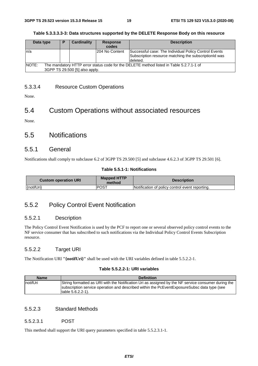#### **Table 5.3.3.3.3-3: Data structures supported by the DELETE Response Body on this resource**

| Data type | D | Cardinality                    | <b>Response</b><br>codes | <b>Description</b>                                                                                                         |
|-----------|---|--------------------------------|--------------------------|----------------------------------------------------------------------------------------------------------------------------|
| n/a       |   |                                | I204 No Content          | Successful case: The Individual Policy Control Events<br>Subscription resource matching the subscriptionId was<br>deleted. |
| INOTE:    |   | 3GPP TS 29.500 [5] also apply. |                          | The mandatory HTTP error status code for the DELETE method listed in Table 5.2.7.1-1 of                                    |

### 5.3.3.4 Resource Custom Operations

None.

# 5.4 Custom Operations without associated resources

None.

# 5.5 Notifications

#### 5.5.1 General

Notifications shall comply to subclause 6.2 of 3GPP TS 29.500 [5] and subclause 4.6.2.3 of 3GPP TS 29.501 [6].

#### **Table 5.5.1-1: Notifications**

| <b>Custom operation URI</b> | <b>Mapped HTTP</b><br>method | <b>Description</b>                              |  |
|-----------------------------|------------------------------|-------------------------------------------------|--|
| {notifUri}                  | POST                         | Notification of policy control event reporting. |  |

# 5.5.2 Policy Control Event Notification

#### 5.5.2.1 Description

The Policy Control Event Notification is used by the PCF to report one or several observed policy control events to the NF service consumer that has subscribed to such notifications via the Individual Policy Control Events Subscription resource.

#### 5.5.2.2 Target URI

The Notification URI **"{notifUri}"** shall be used with the URI variables defined in table 5.5.2.2-1.

#### **Table 5.5.2.2-1: URI variables**

| <b>Name</b>      | <b>Definition</b>                                                                                                                                                                                                           |
|------------------|-----------------------------------------------------------------------------------------------------------------------------------------------------------------------------------------------------------------------------|
| <b>InotifUri</b> | String formatted as URI with the Notification Uri as assigned by the NF service consumer during the<br>subscription service operation and described within the PcEventExposureSubsc data type (see<br>Itable $5.6.2.2-1$ ). |

#### 5.5.2.3 Standard Methods

#### 5.5.2.3.1 POST

This method shall support the URI query parameters specified in table 5.5.2.3.1-1.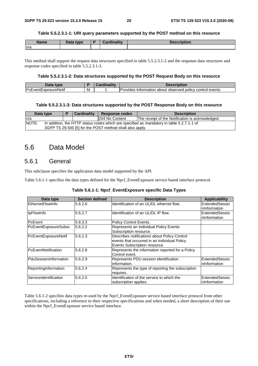#### **Table 5.5.2.3.1-1: URI query parameters supported by the POST method on this resource**

| <b>Name</b> | Data type<br>Putu | <b>Cardinality</b> | <b>Description</b> |
|-------------|-------------------|--------------------|--------------------|
| n/a         |                   |                    |                    |

This method shall support the request data structures specified in table 5.5.2.3.1-2 and the response data structures and response codes specified in table 5.5.2.3.1-3.

#### **Table 5.5.2.3.1-2: Data structures supported by the POST Request Body on this resource**

| Data<br>tvne                |    | <br><b>Description</b>                                                          |
|-----------------------------|----|---------------------------------------------------------------------------------|
| <b>PcEventExposureNotif</b> | ΙM | control events<br>about observed<br><b>IProvides</b><br>. policy<br>Information |

#### **Table 5.5.2.3.1-3: Data structures supported by the POST Response Body on this resource**

| Data type                                                                                          |                                                          | <b>Cardinality</b> | <b>Response codes</b> | <b>Description</b>                               |  |  |  |  |
|----------------------------------------------------------------------------------------------------|----------------------------------------------------------|--------------------|-----------------------|--------------------------------------------------|--|--|--|--|
| In/a                                                                                               |                                                          |                    | 204 No Content        | The receipt of the Notification is acknowledged. |  |  |  |  |
| NOTE:<br>In addition, the HTTP status codes which are specified as mandatory in table 5.2.7.1-1 of |                                                          |                    |                       |                                                  |  |  |  |  |
|                                                                                                    | 3GPP TS 29.500 [5] for the POST method shall also apply. |                    |                       |                                                  |  |  |  |  |

# 5.6 Data Model

# 5.6.1 General

This subclause specifies the application data model supported by the API.

Table 5.6.1-1 specifies the data types defined for the Npcf\_EventExposure service based interface protocol.

| Data type             | <b>Section defined</b> | <b>Description</b>                                                                                                            | <b>Applicability</b>            |
|-----------------------|------------------------|-------------------------------------------------------------------------------------------------------------------------------|---------------------------------|
| EthernetFlowInfo      | 5.6.2.6                | Identification of an UL/DL ethernet flow.                                                                                     | ExtendedSessio<br>InInformation |
| <b>IpFlowInfo</b>     | 5.6.2.7                | Identification of an UL/DL IP flow.                                                                                           | ExtendedSessio<br>InInformation |
| PcEvent               | 5.6.3.3                | Policy Control Events.                                                                                                        |                                 |
| PcEventExposureSubsc  | 5.6.2.2                | Represents an Individual Policy Events<br>Subscription resource.                                                              |                                 |
| PcEventExposureNotif  | 5.6.2.3                | Describes notifications about Policy Control<br>events that occurred in an Individual Policy<br>Events Subscription resource. |                                 |
| PcEventNotification   | 5.6.2.8                | Represents the information reported for a Policy<br>Control event.                                                            |                                 |
| PduSessionInformation | 5.6.2.9                | Represents PDU session identification<br>information.                                                                         | ExtendedSessio<br>nInformation  |
| ReportingInformation  | 5.6.2.4                | Represents the type of reporting the subscription<br>requires.                                                                |                                 |
| ServiceIdentification | 5.6.2.5                | Identification of the service to which the<br>subscription applies.                                                           | ExtendedSessio<br>InInformation |

Table 5.6.1-2 specifies data types re-used by the Npcf\_EventExposure service based interface protocol from other specifications, including a reference to their respective specifications and when needed, a short description of their use within the Npcf\_EventExposure service based interface.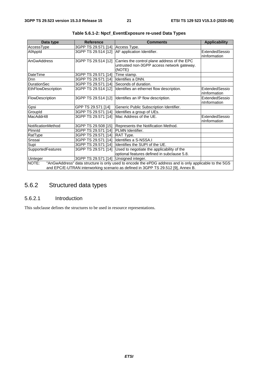| Data type          | <b>Reference</b>                      | <b>Comments</b>                                                                                        | <b>Applicability</b> |
|--------------------|---------------------------------------|--------------------------------------------------------------------------------------------------------|----------------------|
| AccessType         | 3GPP TS 29.571 [14] Access Type.      |                                                                                                        |                      |
| AfAppId            | 3GPP TS 29.514 [12]                   | AF application Identifier.                                                                             | ExtendedSessio       |
|                    |                                       |                                                                                                        | nInformation         |
| AnGwAddress        | 3GPP TS 29.514 [12]                   | Carries the control plane address of the EPC                                                           |                      |
|                    |                                       | untrusted non-3GPP access network gateway.                                                             |                      |
|                    |                                       | (NOTE)                                                                                                 |                      |
| <b>DateTime</b>    | 3GPP TS 29.571 [14]                   | Time stamp.                                                                                            |                      |
| <b>Dnn</b>         | 3GPP TS 29.571 [14]                   | Identifies a DNN.                                                                                      |                      |
| <b>DurationSec</b> | 3GPP TS 29.571 [14]                   | Seconds of duration.                                                                                   |                      |
| EthFlowDescription | 3GPP TS 29.514 [12]                   | Identifies an ethernet flow description.                                                               | ExtendedSessio       |
|                    |                                       |                                                                                                        | nInformation         |
| FlowDescription    |                                       | 3GPP TS 29.514 [12] Identifies an IP flow description.                                                 | ExtendedSessio       |
|                    |                                       |                                                                                                        | nInformation         |
| Gpsi               | GPP TS 29.571 [14]                    | Generic Public Subscription Identifier.                                                                |                      |
| GroupId            | 3GPP TS 29.571 [14]                   | Identifies a group of UEs.                                                                             |                      |
| MacAddr48          | 3GPP TS 29.571 [14]                   | Mac Address of the UE.                                                                                 | ExtendedSessio       |
|                    |                                       |                                                                                                        | nInformation         |
| NotificationMethod | 3GPP TS 29.508 [15]                   | Represents the Notification Method.                                                                    |                      |
| Plmnld             | 3GPP TS 29.571 [14]                   | <b>PLMN</b> Identifier.                                                                                |                      |
| RatType            | 3GPP TS 29.571 [14]                   | RAT Type.                                                                                              |                      |
| Snssai             | 3GPP TS 29.571 [14]                   | Identifies a S-NSSA.I                                                                                  |                      |
| Supi               | 3GPP TS 29.571 [14]                   | Identifies the SUPI of the UE.                                                                         |                      |
| SupportedFeatures  | 3GPP TS 29.571 [14]                   | Used to negotiate the applicability of the                                                             |                      |
|                    |                                       | optional features defined in subclause 5.8.                                                            |                      |
| <b>Uinteger</b>    | 3GPP TS 29.571 [14] Unsigned integer. |                                                                                                        |                      |
| NOTE:              |                                       | "AnGwAddress" data structure is only used to encode the ePDG address and is only applicable to the 5GS |                      |
|                    |                                       | and EPC/E-UTRAN interworking scenario as defined in 3GPP TS 29.512 [9], Annex B.                       |                      |

**Table 5.6.1-2: Npcf\_EventExposure re-used Data Types** 

# 5.6.2 Structured data types

### 5.6.2.1 Introduction

This subclause defines the structures to be used in resource representations.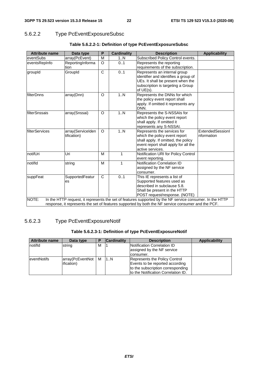# 5.6.2.2 Type PcEventExposureSubsc

| <b>Attribute name</b> | Data type                                                                                          | P            | <b>Cardinality</b> | <b>Description</b>                                                                                       | <b>Applicability</b> |  |  |
|-----------------------|----------------------------------------------------------------------------------------------------|--------------|--------------------|----------------------------------------------------------------------------------------------------------|----------------------|--|--|
| eventSubs             | array(PcEvent)                                                                                     | M            | 1N                 | Subscribed Policy Control events.                                                                        |                      |  |  |
| eventsRepInfo         | ReportingInforma                                                                                   | O            | 0.1                | Represents the reporting                                                                                 |                      |  |  |
|                       | tion                                                                                               |              |                    | requirements of the subscription.                                                                        |                      |  |  |
| groupId               | GroupId                                                                                            | $\mathsf{C}$ | 0.1                | Represents an internal group                                                                             |                      |  |  |
|                       |                                                                                                    |              |                    | identifier and identifies a group of                                                                     |                      |  |  |
|                       |                                                                                                    |              |                    | UEs. It shall be present when the                                                                        |                      |  |  |
|                       |                                                                                                    |              |                    | subscription is targeting a Group                                                                        |                      |  |  |
|                       |                                                                                                    |              |                    | of $UE(s)$ .                                                                                             |                      |  |  |
| filterDnns            | array(Dnn)                                                                                         | O            | 1N                 | Represents the DNNs for which                                                                            |                      |  |  |
|                       |                                                                                                    |              |                    | the policy event report shall                                                                            |                      |  |  |
|                       |                                                                                                    |              |                    | apply. If omitted it represents any                                                                      |                      |  |  |
|                       |                                                                                                    |              |                    | DNN.                                                                                                     |                      |  |  |
| filterSnssais         | array(Snssai)                                                                                      | O            | 1N                 | Represents the S-NSSAIs for                                                                              |                      |  |  |
|                       |                                                                                                    |              |                    | which the policy event report                                                                            |                      |  |  |
|                       |                                                                                                    |              |                    | shall apply. If omitted it                                                                               |                      |  |  |
|                       |                                                                                                    |              |                    | represents any S-NSSAI.                                                                                  |                      |  |  |
| filterServices        | array(ServiceIden                                                                                  | $\Omega$     | 1N                 | Represents the services for                                                                              | ExtendedSessionI     |  |  |
|                       | tification)                                                                                        |              |                    | which the policy event report<br>shall apply. If omitted, the policy                                     | nformation           |  |  |
|                       |                                                                                                    |              |                    | event report shall apply for all the                                                                     |                      |  |  |
|                       |                                                                                                    |              |                    | active services.                                                                                         |                      |  |  |
| notifUri              | Uri                                                                                                | M            | 1                  | Notification URI for Policy Control                                                                      |                      |  |  |
|                       |                                                                                                    |              |                    | event reporting.                                                                                         |                      |  |  |
| notifld               | string                                                                                             | м            | 1                  | <b>Notification Correlation ID</b>                                                                       |                      |  |  |
|                       |                                                                                                    |              |                    | assigned by the NF service                                                                               |                      |  |  |
|                       |                                                                                                    |              |                    | consumer.                                                                                                |                      |  |  |
| suppFeat              | SupportedFeatur                                                                                    | $\mathsf{C}$ | 0.1                | This IE represents a list of                                                                             |                      |  |  |
|                       | es                                                                                                 |              |                    | Supported features used as                                                                               |                      |  |  |
|                       |                                                                                                    |              |                    | described in subclause 5.8.                                                                              |                      |  |  |
|                       |                                                                                                    |              |                    | Shall be present in the HTTP                                                                             |                      |  |  |
|                       |                                                                                                    |              |                    | POST request/response. (NOTE)                                                                            |                      |  |  |
| NOTE:                 |                                                                                                    |              |                    | In the HTTP request, it represents the set of features supported by the NF service consumer. In the HTTP |                      |  |  |
|                       | response, it represents the set of features supported by both the NF service consumer and the PCF. |              |                    |                                                                                                          |                      |  |  |

### **Table 5.6.2.2-1: Definition of type PcEventExposureSubsc**

# 5.6.2.3 Type PcEventExposureNotif

#### **Table 5.6.2.3-1: Definition of type PcEventExposureNotif**

| <b>Attribute name</b> | Data type        |   | <b>Cardinality</b> | <b>Description</b>                      | <b>Applicability</b> |
|-----------------------|------------------|---|--------------------|-----------------------------------------|----------------------|
| notifid               | string           | M |                    | Notification Correlation ID             |                      |
|                       |                  |   |                    | assigned by the NF service<br>consumer. |                      |
| <b>leventNotifs</b>   | array(PcEventNot | M | 1N                 | Represents the Policy Control           |                      |
|                       | ification)       |   |                    | Events to be reported according         |                      |
|                       |                  |   |                    | to the subscription corresponding       |                      |
|                       |                  |   |                    | to the Notification Correlation ID.     |                      |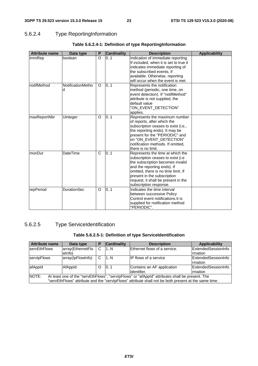# 5.6.2.4 Type ReportingInformation

| <b>Attribute name</b> | Data type              | P        | <b>Cardinality</b> | <b>Description</b>                                                                                                                                                                                                                                                               | <b>Applicability</b> |
|-----------------------|------------------------|----------|--------------------|----------------------------------------------------------------------------------------------------------------------------------------------------------------------------------------------------------------------------------------------------------------------------------|----------------------|
| immRep                | boolean                | $\Omega$ | 0.1                | Indication of immediate reporting.<br>If included, when it is set to true it<br>indicates immediate reporting of<br>the subscribed events, if<br>available. Otherwise, reporting<br>will occur when the event is met.                                                            |                      |
| notifMethod           | NotificationMetho<br>d | O        | 0.1                | Represents the notification<br>method (periodic, one time, on<br>event detection). If "notifMethod"<br>attribute is not supplied, the<br>default value<br>"ON_EVENT_DETECTION"<br>applies.                                                                                       |                      |
| maxReportNbr          | Uinteger               | O        | 0.1                | Represents the maximum number<br>of reports, after which the<br>subscription ceases to exist (i.e.,<br>the reporting ends). It may be<br>present for the "PERIODIC" and<br>on "ON_EVENT_DETECTION"<br>notification methods. If omitted,<br>there is no limit.                    |                      |
| monDur                | <b>DateTime</b>        | C        | 01                 | Represents the time at which the<br>subscription ceases to exist (i.e.<br>the subscription becomes invalid<br>and the reporting ends). If<br>omitted, there is no time limit. If<br>present in the subscription<br>request, it shall be present in the<br>subscription response. |                      |
| repPeriod             | <b>DurationSec</b>     | O        | 0.1                | Indicates the time interval<br>between successive Policy<br>Control event notifications. It is<br>supplied for notification method<br>"PERIODIC".                                                                                                                                |                      |

### **Table 5.6.2.4-1: Definition of type ReportingInformation**

# 5.6.2.5 Type ServiceIdentification

### **Table 5.6.2.5-1: Definition of type ServiceIdentification**

| Attribute name                                                                                                                                                                                                   | Data type                   | Р | <b>Cardinality</b> | <b>Description</b>                        | <b>Applicability</b>                         |  |
|------------------------------------------------------------------------------------------------------------------------------------------------------------------------------------------------------------------|-----------------------------|---|--------------------|-------------------------------------------|----------------------------------------------|--|
| <b>servEthFlows</b>                                                                                                                                                                                              | array(EthernetFlo<br>wlnfo) | С | 1N                 | Ethernet flows of a service.              | ExtendedSessionInfo<br><b>Imation</b>        |  |
| servipFlows                                                                                                                                                                                                      | array(lpFlowInfo)           | С | 1N                 | <b>IP flows of a service</b>              | <b>ExtendedSessionInfo</b><br><b>Imation</b> |  |
| afAppId                                                                                                                                                                                                          | AfAppId                     | O | 101                | Contains an AF application<br>identifier. | ExtendedSessionInfo<br><b>Imation</b>        |  |
| NOTE:<br>At least one of the "servEthFlows", "servIpFlows" or "afAppId" attributes shall be present. The<br>"servEthFlows" attribute and the "servlpFlows" attribute shall not be both present at the same time. |                             |   |                    |                                           |                                              |  |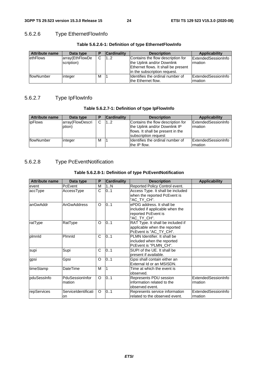# 5.6.2.6 Type EthernetFlowInfo

| <b>Attribute name</b> | Data type       |   | <b>Cardinality</b> | <b>Description</b>                  | Applicability       |
|-----------------------|-----------------|---|--------------------|-------------------------------------|---------------------|
| ethFlows              | array(EthFlowDe | C | 12                 | Contains the flow description for   | ExtendedSessionInfo |
|                       | scription)      |   |                    | the Uplink and/or Downlink          | Irmation            |
|                       |                 |   |                    | Ethernet flows. It shall be present |                     |
|                       |                 |   |                    | lin the subscription request.       |                     |
| flowNumber            | integer         | M |                    | Ildentifies the ordinal number of   | ExtendedSessionInfo |
|                       |                 |   |                    | the Ethernet flow.                  | Irmation            |

#### **Table 5.6.2.6-1: Definition of type EthernetFlowInfo**

### 5.6.2.7 Type IpFlowInfo

#### **Table 5.6.2.7-1: Definition of type IpFlowInfo**

| <b>Attribute name</b> | Data type                  |   | <b>Cardinality</b> | <b>Description</b>                                                                                                              | <b>Applicability</b>                   |
|-----------------------|----------------------------|---|--------------------|---------------------------------------------------------------------------------------------------------------------------------|----------------------------------------|
| <b>ipFlows</b>        | array(FlowDescri<br>ption) | C | 12                 | Contains the flow description for<br>the Uplink and/or Downlink IP<br>flows. It shall be present in the<br>subscription request | <b>IExtendedSessionInfo</b><br>rmation |
| <b>flowNumber</b>     | integer                    | M |                    | Ildentifies the ordinal number of<br>the IP flow.                                                                               | ExtendedSessionInfo<br><b>Irmation</b> |

# 5.6.2.8 Type PcEventNotification

### **Table 5.6.2.8-1: Definition of type PcEventNotification**

| <b>Attribute name</b> | Data type                 | P                     | <b>Cardinality</b> | <b>Description</b>                                                                                 | <b>Applicability</b>           |
|-----------------------|---------------------------|-----------------------|--------------------|----------------------------------------------------------------------------------------------------|--------------------------------|
| event                 | PcEvent                   | М                     | 1N                 | Reported Policy Control event.                                                                     |                                |
| accType               | AccessType                | $\overline{\text{c}}$ | 0.1                | Access Type. It shall be included<br>when the reported PcEvent is<br>"AC TY CH".                   |                                |
| anGwAddr              | AnGwAddress               | O                     | 0.1                | ePDG address. It shall be<br>included if applicable when the<br>reported PcEvent is<br>"AC TY CH". |                                |
| ratType               | RatType                   | O                     | 01                 | RAT Type. It shall be included if<br>applicable when the reported<br>PcEvent is "AC_TY_CH".        |                                |
| plmnld                | Plmnld                    | C                     | 0.1                | PLMN Identifier. It shall be<br>included when the reported<br>PcEvent is "PLMN CH".                |                                |
| supi                  | Supi                      | C                     | 0.1                | SUPI of the UE. It shall be<br>present if available.                                               |                                |
| gpsi                  | Gpsi                      | O                     | 0.1                | Gpsi shall contain either an<br>External Id or an MSISDN.                                          |                                |
| timeStamp             | <b>DateTime</b>           | M                     |                    | Time at which the event is<br>lobserved.                                                           |                                |
| pduSessInfo           | PduSessionInfor<br>mation | $\Omega$              | 0.1                | Represents PDU session<br>information related to the<br>observed event.                            | ExtendedSessionInfo<br>rmation |
| repServices           | ServiceIdentificati<br>on | O                     | 0.1                | Represents service information<br>related to the observed event.                                   | ExtendedSessionInfo<br>rmation |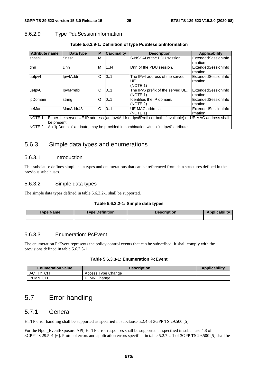# 5.6.2.9 Type PduSessionInformation

| <b>Attribute name</b>                                                                                                           | Data type   | P | <b>Cardinality</b> | <b>Description</b>                                | Applicability                         |  |
|---------------------------------------------------------------------------------------------------------------------------------|-------------|---|--------------------|---------------------------------------------------|---------------------------------------|--|
| snssai                                                                                                                          | Snssai      | M |                    | S-NSSAI of the PDU session.                       | ExtendedSessionInfo<br>rmation        |  |
| dnn                                                                                                                             | <b>D</b> nn | M | 1N                 | Dnn of the PDU session.                           | ExtendedSessionInfo<br>Irmation       |  |
| uelpv4                                                                                                                          | Ipv4Addr    | C | 101                | The IPv4 address of the served<br>UE.<br>(NOTE 1) | ExtendedSessionInfo<br>Irmation       |  |
| uelpv6                                                                                                                          | lpv6Prefix  | C | 101                | The IPv6 prefix of the served UE.<br>(NOTE 1)     | <b>ExtendedSessionInfo</b><br>rmation |  |
| lipDomain                                                                                                                       | string      | O | 10.1               | Identifies the IP domain.<br>(NOTE 2)             | ExtendedSessionInfo<br>rmation        |  |
| ueMac                                                                                                                           | MacAddr48   | C | 10.1               | UE MAC address.<br>I(NOTE 1)                      | ExtendedSessionInfo<br>Irmation       |  |
| NOTE 1: Either the served UE IP address (an Ipv4Addr or Ipv6Prefix or both if available) or UE MAC address shall<br>be present. |             |   |                    |                                                   |                                       |  |
| NOTE 2: An "ipDomain" attribute, may be provided in combination with a "uelpv4" attribute.                                      |             |   |                    |                                                   |                                       |  |

### **Table 5.6.2.9-1: Definition of type PduSessionInformation**

# 5.6.3 Simple data types and enumerations

### 5.6.3.1 Introduction

This subclause defines simple data types and enumerations that can be referenced from data structures defined in the previous subclauses.

#### 5.6.3.2 Simple data types

The simple data types defined in table 5.6.3.2-1 shall be supported.

#### **Table 5.6.3.2-1: Simple data types**

| <b>Type Name</b> | <b>Type Definition</b> | <b>Description</b> | <b>Applicability</b> |
|------------------|------------------------|--------------------|----------------------|
|                  |                        |                    |                      |

#### 5.6.3.3 Enumeration: PcEvent

The enumeration PcEvent represents the policy control events that can be subscribed. It shall comply with the provisions defined in table 5.6.3.3-1.

#### **Table 5.6.3.3-1: Enumeration PcEvent**

| <b>Enumeration value</b>       | <b>Description</b> | <b>Applicability</b> |
|--------------------------------|--------------------|----------------------|
| <b>CH</b><br>АC<br>$T_{\rm V}$ | Access Type Change |                      |
| PLMN CH                        | <b>PLMN Change</b> |                      |

# 5.7 Error handling

### 5.7.1 General

HTTP error handling shall be supported as specified in subclause 5.2.4 of 3GPP TS 29.500 [5].

For the Npcf. EventExposure API, HTTP error responses shall be supported as specified in subclause 4.8 of 3GPP TS 29.501 [6]. Protocol errors and application errors specified in table 5.2.7.2-1 of 3GPP TS 29.500 [5] shall be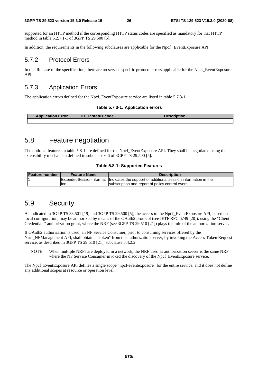supported for an HTTP method if the corresponding HTTP status codes are specified as mandatory for that HTTP method in table 5.2.7.1-1 of 3GPP TS 29.500 [5].

In addition, the requirements in the following subclauses are applicable for the Npcf\_ EventExposure API.

### 5.7.2 Protocol Errors

In this Release of the specification, there are no service specific protocol errors applicable for the Npcf\_EventExposure API.

# 5.7.3 Application Errors

The application errors defined for the Npcf. EventExposure service are listed in table 5.7.3-1.

#### **Table 5.7.3-1: Application errors**

| <b>Application Error</b> | <b>HTTP status code</b> | <b>Description</b> |
|--------------------------|-------------------------|--------------------|
|                          |                         |                    |

# 5.8 Feature negotiation

The optional features in table 5.8-1 are defined for the Npcf\_EventExposure API. They shall be negotiated using the extensibility mechanism defined in subclause 6.6 of 3GPP TS 29.500 [5].

#### **Table 5.8-1: Supported Features**

| <b>Feature number</b> | <b>Feature Name</b> | <b>Description</b>                                                                         |
|-----------------------|---------------------|--------------------------------------------------------------------------------------------|
|                       |                     | Extended Session Informat   Indicates the support of additional session information in the |
|                       | lon                 | Isubscription and report of policy control event.                                          |

# 5.9 Security

As indicated in 3GPP TS 33.501 [19] and 3GPP TS 29.500 [5], the access to the Npcf\_EventExposure API, based on local configuration, may be authorized by means of the OAuth2 protocol (see IETF RFC 6749 [20]), using the "Client Credentials" authorization grant, where the NRF (see 3GPP TS 29.510 [21]) plays the role of the authorization server.

If OAuth2 authorization is used, an NF Service Consumer, prior to consuming services offered by the Nnrf\_NFManagement API, shall obtain a "token" from the authorization server, by invoking the Access Token Request service, as described in 3GPP TS 29.510 [21], subclause 5.4.2.2.

NOTE: When multiple NRFs are deployed in a network, the NRF used as authorization server is the same NRF where the NF Service Consumer invoked the discovery of the Npcf\_EventExposure service.

The Npcf\_EventExposure API defines a single scope "npcf-eventexposure" for the entire service, and it does not define any additional scopes at resource or operation level.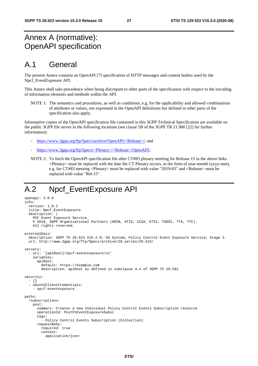# Annex A (normative): OpenAPI specification

# A.1 General

The present Annex contains an OpenAPI [7] specification of HTTP messages and content bodies used by the Npcf\_EventExposure API.

This Annex shall take precedence when being discrepant to other parts of the specification with respect to the encoding of information elements and methods within the API.

NOTE 1: The semantics and procedures, as well as conditions, e.g. for the applicability and allowed combinations of attributes or values, not expressed in the OpenAPI definitions but defined in other parts of the specification also apply.

Informative copies of the OpenAPI specification file contained in this 3GPP Technical Specification are available on the public 3GPP file server in the following locations (see clause 5B of the 3GPP TR 21.900 [22] for further information):

- [https://www.3gpp.org/ftp/Specs/archive/OpenAPI/<Release>/](https://www.3gpp.org/ftp/Specs/archive/OpenAPI/%3cRelease%3e/); and
- [https://www.3gpp.org/ftp/Specs/<Plenary>/<Release>/OpenAPI/](https://www.3gpp.org/ftp/Specs/%3cPlenary%3e/%3cRelease%3e/OpenAPI/).
- NOTE 2: To fetch the OpenAPI specification file after CT#83 plenary meeting for Release 15 in the above links <Plenary> must be replaced with the date the CT Plenary occurs, in the form of year-month (yyyy-mm), e.g. for CT#83 meeting <Plenary> must be replaced with value "2019-03" and <Release> must be replaced with value "Rel-15".

# A.2 Npcf\_EventExposure API

```
openapi: 3.0.0 
info: 
   version: 1.0.2 
   title: Npcf_EventExposure 
   description: | 
     PCF Event Exposure Service. 
     © 2019, 3GPP Organizational Partners (ARIB, ATIS, CCSA, ETSI, TSDSI, TTA, TTC). 
     All rights reserved. 
externalDocs: 
   description: 3GPP TS 29.523 V15.2.0; 5G System; Policy Control Event Exposure Service; Stage 3. 
   url: http://www.3gpp.org/ftp/Specs/archive/29_series/29.523/ 
servers: 
    - url: '{apiRoot}/npcf-eventexposure/v1' 
     variables: 
       apiRoot: 
         default: https://example.com 
         description: apiRoot as defined in subclause 4.4 of 3GPP TS 29.501 
security: 
   - {} 
   - oAuth2ClientCredentials: 
     - npcf-eventexposure 
paths: 
   /subscriptions: 
     post: 
       summary: Creates a new Individual Policy Control Events Subscription resource 
       operationId: PostPcEventExposureSubsc 
       tags: 
         - Policy Control Events Subscription (Collection) 
       requestBody: 
         required: true 
         content: 
           application/json:
```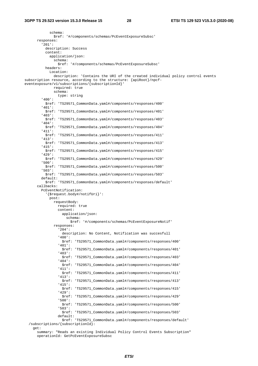schema: \$ref: '#/components/schemas/PcEventExposureSubsc' responses: '201': description: Success content: application/json: schema: \$ref: '#/components/schemas/PcEventExposureSubsc' headers: Location: description: 'Contains the URI of the created individual policy control events subscription resource, according to the structure: {apiRoot}/npcfeventexposure/v1/subscriptions/{subscriptionId}' required: true schema: type: string '400': \$ref: 'TS29571\_CommonData.yaml#/components/responses/400' '401': \$ref: 'TS29571\_CommonData.yaml#/components/responses/401' '403': \$ref: 'TS29571\_CommonData.yaml#/components/responses/403' '404': \$ref: 'TS29571\_CommonData.yaml#/components/responses/404' '411': \$ref: 'TS29571\_CommonData.yaml#/components/responses/411' '413': \$ref: 'TS29571\_CommonData.yaml#/components/responses/413' '415': \$ref: 'TS29571\_CommonData.yaml#/components/responses/415' '429': \$ref: 'TS29571\_CommonData.yaml#/components/responses/429' '500': \$ref: 'TS29571\_CommonData.yaml#/components/responses/500' '503': \$ref: 'TS29571\_CommonData.yaml#/components/responses/503' default: \$ref: 'TS29571\_CommonData.yaml#/components/responses/default' callbacks: PcEventNotification: '{\$request.body#/notifUri}': post: requestBody: required: true content: application/json: schema: \$ref: '#/components/schemas/PcEventExposureNotif' responses: '204': description: No Content, Notification was succesfull '400': \$ref: 'TS29571\_CommonData.yaml#/components/responses/400' '401': \$ref: 'TS29571\_CommonData.yaml#/components/responses/401' '403': \$ref: 'TS29571\_CommonData.yaml#/components/responses/403' '404': \$ref: 'TS29571\_CommonData.yaml#/components/responses/404' '411': \$ref: 'TS29571\_CommonData.yaml#/components/responses/411' '413': \$ref: 'TS29571\_CommonData.yaml#/components/responses/413' '415': \$ref: 'TS29571\_CommonData.yaml#/components/responses/415' '429': \$ref: 'TS29571\_CommonData.yaml#/components/responses/429' '500': \$ref: 'TS29571\_CommonData.yaml#/components/responses/500' '503': \$ref: 'TS29571\_CommonData.yaml#/components/responses/503' default: \$ref: 'TS29571\_CommonData.yaml#/components/responses/default' /subscriptions/{subscriptionId}: get:

 summary: "Reads an existing Individual Policy Control Events Subscription" operationId: GetPcEventExposureSubsc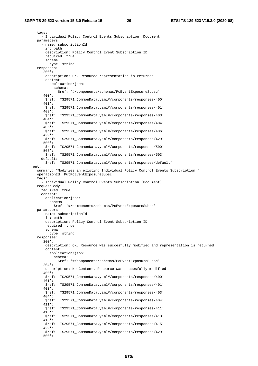tags: - Individual Policy Control Events Subscription (Document) parameters: - name: subscriptionId in: path description: Policy Control Event Subscription ID required: true schema: type: string responses: '200': description: OK. Resource representation is returned content: application/json: schema: \$ref: '#/components/schemas/PcEventExposureSubsc' '400': \$ref: 'TS29571\_CommonData.yaml#/components/responses/400' '401': \$ref: 'TS29571\_CommonData.yaml#/components/responses/401' '403': \$ref: 'TS29571\_CommonData.yaml#/components/responses/403' '404': \$ref: 'TS29571\_CommonData.yaml#/components/responses/404' '406': \$ref: 'TS29571\_CommonData.yaml#/components/responses/406' '429': \$ref: 'TS29571\_CommonData.yaml#/components/responses/429' '500': \$ref: 'TS29571\_CommonData.yaml#/components/responses/500' '503': \$ref: 'TS29571\_CommonData.yaml#/components/responses/503' default: \$ref: 'TS29571\_CommonData.yaml#/components/responses/default' put: summary: "Modifies an existing Individual Policy Control Events Subscription " operationId: PutPcEventExposureSubsc tags: - Individual Policy Control Events Subscription (Document) requestBody: required: true content: application/json: schema: \$ref: '#/components/schemas/PcEventExposureSubsc' parameters: - name: subscriptionId in: path description: Policy Control Event Subscription ID required: true schema: type: string responses: '200': description: OK. Resource was succesfully modified and representation is returned content: application/json: schema: \$ref: '#/components/schemas/PcEventExposureSubsc' '204': description: No Content. Resource was succesfully modified '400': \$ref: 'TS29571\_CommonData.yaml#/components/responses/400' '401': \$ref: 'TS29571\_CommonData.yaml#/components/responses/401' '403': \$ref: 'TS29571\_CommonData.yaml#/components/responses/403' '404': \$ref: 'TS29571\_CommonData.yaml#/components/responses/404' '411': \$ref: 'TS29571\_CommonData.yaml#/components/responses/411' '413': \$ref: 'TS29571\_CommonData.yaml#/components/responses/413' '415': \$ref: 'TS29571\_CommonData.yaml#/components/responses/415' '429': \$ref: 'TS29571\_CommonData.yaml#/components/responses/429' '500':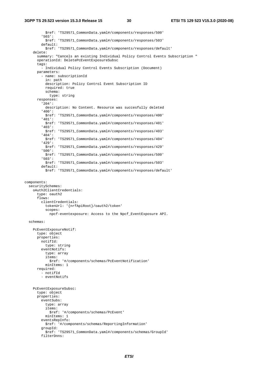#### **3GPP TS 29.523 version 15.3.0 Release 15 30 ETSI TS 129 523 V15.3.0 (2020-08)**

 \$ref: 'TS29571\_CommonData.yaml#/components/responses/500' '503': \$ref: 'TS29571\_CommonData.yaml#/components/responses/503' default: \$ref: 'TS29571\_CommonData.yaml#/components/responses/default' delete: summary: "Cancels an existing Individual Policy Control Events Subscription " operationId: DeletePcEventExposureSubsc tags: - Individual Policy Control Events Subscription (Document) parameters: - name: subscriptionId in: path description: Policy Control Event Subscription ID required: true schema: type: string responses: '204': description: No Content. Resource was succesfully deleted '400': \$ref: 'TS29571\_CommonData.yaml#/components/responses/400' '401': \$ref: 'TS29571\_CommonData.yaml#/components/responses/401' '403': \$ref: 'TS29571\_CommonData.yaml#/components/responses/403' '404': \$ref: 'TS29571\_CommonData.yaml#/components/responses/404' '429': \$ref: 'TS29571\_CommonData.yaml#/components/responses/429' '500': \$ref: 'TS29571\_CommonData.yaml#/components/responses/500' '503': \$ref: 'TS29571\_CommonData.yaml#/components/responses/503' default: \$ref: 'TS29571\_CommonData.yaml#/components/responses/default' components: securitySchemes: oAuth2ClientCredentials: type: oauth2 flows: clientCredentials: tokenUrl: '{nrfApiRoot}/oauth2/token' scopes: npcf-eventexposure: Access to the Npcf\_EventExposure API. schemas: PcEventExposureNotif: type: object properties: notifId: type: string eventNotifs: type: array items: \$ref: '#/components/schemas/PcEventNotification' minItems: 1 required: - notifId - eventNotifs PcEventExposureSubsc: type: object properties: eventSubs: type: array items: \$ref: '#/components/schemas/PcEvent' minItems: 1 eventsRepInfo: \$ref: '#/components/schemas/ReportingInformation' groupId: \$ref: 'TS29571\_CommonData.yaml#/components/schemas/GroupId' filterDnns: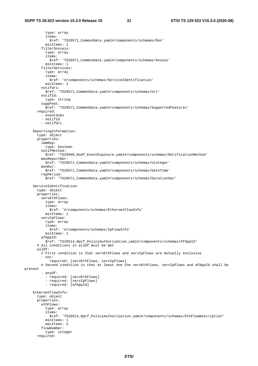type: array items: \$ref: 'TS29571\_CommonData.yaml#/components/schemas/Dnn' minItems: 1 filterSnssais: type: array items: \$ref: 'TS29571\_CommonData.yaml#/components/schemas/Snssai' minItems: 1 filterServices: type: array items: \$ref: '#/components/schemas/ServiceIdentification' minItems: 1 notifUri: \$ref: 'TS29571\_CommonData.yaml#/components/schemas/Uri' notifId: type: string suppFeat: \$ref: 'TS29571\_CommonData.yaml#/components/schemas/SupportedFeatures' required: - eventSubs - notifId - notifUri ReportingInformation: type: object properties: immRep: type: boolean notifMethod: \$ref: 'TS29508\_Nsmf\_EventExposure.yaml#/components/schemas/NotificationMethod' maxReportNbr: \$ref: 'TS29571\_CommonData.yaml#/components/schemas/Uinteger' monDur: \$ref: 'TS29571\_CommonData.yaml#/components/schemas/DateTime' repPeriod: \$ref: 'TS29571\_CommonData.yaml#/components/schemas/DurationSec' ServiceIdentification: type: object properties: servEthFlows: type: array items: \$ref: '#/components/schemas/EthernetFlowInfo' minItems: 1 servIpFlows: type: array items: \$ref: '#/components/schemas/IpFlowInfo' minItems: 1 afAppId: \$ref: 'TS29514\_Npcf\_PolicyAuthorization.yaml#/components/schemas/AfAppId' # All conditions in allOf must be met allOf: # First condition is that servEthFlows and servIpFlows are mutually exclusive - not: required: [servEthFlows, servIpFlows] # Second condition is that at least one the servEthFlows, servIpFlows and afAppId shall be present - anyOf: - required: [servEthFlows] - required: [servIpFlows] - required: [afAppId] EthernetFlowInfo: type: object properties: ethFlows: type: array items: \$ref: 'TS29514\_Npcf\_PolicyAuthorization.yaml#/components/schemas/EthFlowDescription' minItems: 1 maxItems: 2 flowNumber: type: integer required: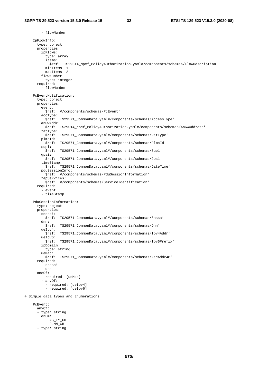- flowNumber

 IpFlowInfo: type: object properties: ipFlows: type: array items: \$ref: 'TS29514\_Npcf\_PolicyAuthorization.yaml#/components/schemas/FlowDescription' minItems: 1 maxItems: 2 flowNumber: type: integer required: - flowNumber PcEventNotification: type: object properties: event: \$ref: '#/components/schemas/PcEvent' accType: \$ref: 'TS29571\_CommonData.yaml#/components/schemas/AccessType' anGwAddr: \$ref: 'TS29514\_Npcf\_PolicyAuthorization.yaml#/components/schemas/AnGwAddress' ratType: \$ref: 'TS29571\_CommonData.yaml#/components/schemas/RatType' plmnId: \$ref: 'TS29571\_CommonData.yaml#/components/schemas/PlmnId' supi: \$ref: 'TS29571\_CommonData.yaml#/components/schemas/Supi' gpsi: \$ref: 'TS29571\_CommonData.yaml#/components/schemas/Gpsi' timeStamp: \$ref: 'TS29571\_CommonData.yaml#/components/schemas/DateTime' pduSessionInfo: \$ref: '#/components/schemas/PduSessionInformation' repServices: \$ref: '#/components/schemas/ServiceIdentification' required: - event - timeStamp PduSessionInformation: type: object properties: snssai: \$ref: 'TS29571\_CommonData.yaml#/components/schemas/Snssai' dnn: \$ref: 'TS29571\_CommonData.yaml#/components/schemas/Dnn' ueIpv4: \$ref: 'TS29571\_CommonData.yaml#/components/schemas/Ipv4Addr' ueIpv6: \$ref: 'TS29571\_CommonData.yaml#/components/schemas/Ipv6Prefix' ipDomain: type: string ueMac: \$ref: 'TS29571\_CommonData.yaml#/components/schemas/MacAddr48' required: - snssai - dnn oneOf: - required: [ueMac] - anyOf: - required: [ueIpv4] - required: [ueIpv6] # Simple data types and Enumerations PcEvent: anyOf: - type: string enum: - AC\_TY\_CH - PLMN\_CH - type: string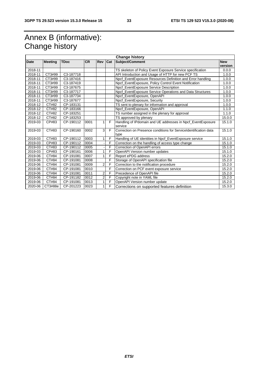# Annex B (informative): Change history

| <b>Change history</b> |                |             |           |                |                |                                                                           |                       |
|-----------------------|----------------|-------------|-----------|----------------|----------------|---------------------------------------------------------------------------|-----------------------|
| Date                  | <b>Meeting</b> | <b>TDoc</b> | <b>CR</b> | <b>Rev</b>     | <b>Cat</b>     | Subject/Comment                                                           | <b>New</b><br>version |
| 2018-11               |                |             |           |                |                | TS skeleton of Policy Event Exposure Service specification                | 0.0.0                 |
| 2018-11               | CT3#99         | C3-187718   |           |                |                | API Introduction and Usage of HTTP for new PCF TS                         | 1.0.0                 |
| 2018-11               | CT3#99         | C3-187416   |           |                |                | Npcf EventExposure Resources Definition and Error handling                | 1.0.0                 |
| 2018-11               | CT3#99         | C3-187419   |           |                |                | Npcf_EventExposure, Policy Control Event Notification                     | 1.0.0                 |
| 2018-11               | CT3#99         | C3-187675   |           |                |                | Npcf_EventExposure Service Description                                    | 1.0.0                 |
| 2018-11               | CT3#99         | C3-187717   |           |                |                | Npcf_EventExposure Service Operations and Data Structures                 | 1.0.0                 |
| 2018-11               | CT3#99         | C3-187734   |           |                |                | Npcf_EventExposure, OpenAPI                                               | 1.0.0                 |
| 2018-11               | CT3#99         | C3-187677   |           |                |                | Npcf_EventExposure, Security                                              | 1.0.0                 |
| 2018-12               | CT#82          | CP-183131   |           |                |                | TS sent to plenary for information and approval                           | 1.0.0                 |
| 2018-12               | CT#82          | CP-183166   |           |                |                | Npcf_EventExposure, OpenAPI                                               | 1.1.0                 |
| 2018-12               | CT#82          | CP-183251   |           |                |                | TS number assigned in the plenary for approval                            | 1.1.0                 |
| 2018-12               | CT#82          | CP-183253   |           |                |                | TS approved by plenary                                                    | 15.0.0                |
| 2019-03               | CP#83          | CP-190112   | 0001      | 1              | F              | Handling of IPdomain and UE addresses in Npcf_EventExposure<br>service    | 15.1.0                |
| 2019-03               | CT#83          | CP-190160   | 0002      | $\overline{3}$ | $\overline{F}$ | Correction on Presence conditions for Service Identification data<br>type | 15.1.0                |
| 2019-03               | CT#83          | CP-190112   | 0003      | $\mathbf{1}$   | F              | Handling of UE identities in Npcf_EventExposure service                   | 15.1.0                |
| 2019-03               | CP#83          | CP-190112   | 0004      |                | F              | Correction on the handling of access type change                          | 15.1.0                |
| 2019-03               | CT#83          | CP-190112   | 0005      |                | F              | Correction of OpenAPI errors                                              | 15.1.0                |
| 2019-03               | CP#83          | CP-190161   | 0006      |                | F              | OpenAPI Version number updates                                            | 15.1.0                |
| 2019-06               | CT#84          | CP-191081   | 0007      | 1              | F              | Report ePDG address                                                       | 15.2.0                |
| 2019-06               | CT#84          | CP-191081   | 0008      |                | F              | Storage of OpenAPI specification file                                     | 15.2.0                |
| 2019-06               | CT#84          | CP-191081   | 0009      | 2 <sub>l</sub> | F              | Correction to the notification procedure                                  | 15.2.0                |
| 2019-06               | CT#84          | CP-191081   | 0010      |                | F              | Correction on PCF event exposure service                                  | 15.2.0                |
| 2019-06               | CT#84          | CP-191081   | 0011      | 2              | F              | Precedence of OpenAPI file                                                | 15.2.0                |
| 2019-06               | CT#84          | CP-191182   | 0012      | $\overline{2}$ | F              | Copyright note in YAML file                                               | 15.2.0                |
| 2019-06               | CT#84          | CP-191081   | 0013      |                | F              | OpenAPI Version number update                                             | 15.2.0                |
| 2020-06               | CT3#88e        | CP-201223   | 0023      | 1              | F              | Corrections on supported features definition                              | 15.3.0                |